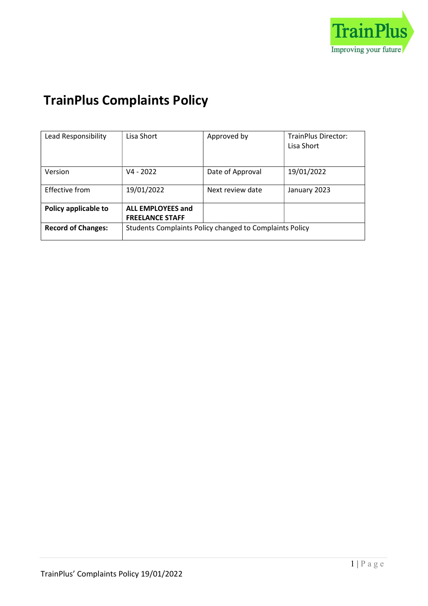

# TrainPlus Complaints Policy

| Lead Responsibility       | Lisa Short                                              | Approved by      | <b>TrainPlus Director:</b><br>Lisa Short |
|---------------------------|---------------------------------------------------------|------------------|------------------------------------------|
| Version                   | $V4 - 2022$                                             | Date of Approval | 19/01/2022                               |
| <b>Effective from</b>     | 19/01/2022                                              | Next review date | January 2023                             |
| Policy applicable to      | <b>ALL EMPLOYEES and</b><br><b>FREELANCE STAFF</b>      |                  |                                          |
| <b>Record of Changes:</b> | Students Complaints Policy changed to Complaints Policy |                  |                                          |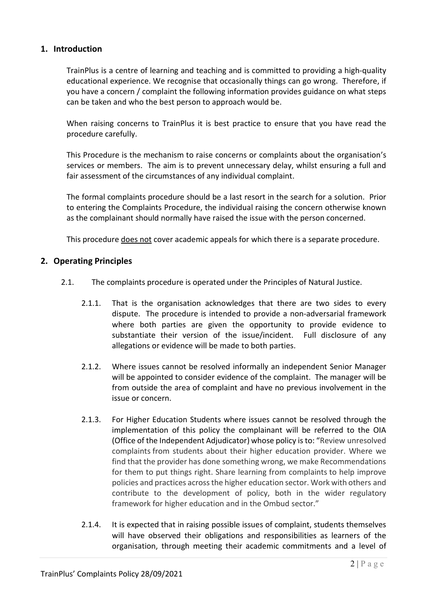### 1. Introduction

TrainPlus is a centre of learning and teaching and is committed to providing a high-quality educational experience. We recognise that occasionally things can go wrong. Therefore, if you have a concern / complaint the following information provides guidance on what steps can be taken and who the best person to approach would be.

When raising concerns to TrainPlus it is best practice to ensure that you have read the procedure carefully.

This Procedure is the mechanism to raise concerns or complaints about the organisation's services or members. The aim is to prevent unnecessary delay, whilst ensuring a full and fair assessment of the circumstances of any individual complaint.

The formal complaints procedure should be a last resort in the search for a solution. Prior to entering the Complaints Procedure, the individual raising the concern otherwise known as the complainant should normally have raised the issue with the person concerned.

This procedure does not cover academic appeals for which there is a separate procedure.

#### 2. Operating Principles

- 2.1. The complaints procedure is operated under the Principles of Natural Justice.
	- 2.1.1. That is the organisation acknowledges that there are two sides to every dispute. The procedure is intended to provide a non-adversarial framework where both parties are given the opportunity to provide evidence to substantiate their version of the issue/incident. Full disclosure of any allegations or evidence will be made to both parties.
	- 2.1.2. Where issues cannot be resolved informally an independent Senior Manager will be appointed to consider evidence of the complaint. The manager will be from outside the area of complaint and have no previous involvement in the issue or concern.
	- 2.1.3. For Higher Education Students where issues cannot be resolved through the implementation of this policy the complainant will be referred to the OIA (Office of the Independent Adjudicator) whose policy is to: "Review unresolved complaints from students about their higher education provider. Where we find that the provider has done something wrong, we make Recommendations for them to put things right. Share learning from complaints to help improve policies and practices across the higher education sector. Work with others and contribute to the development of policy, both in the wider regulatory framework for higher education and in the Ombud sector."
	- 2.1.4. It is expected that in raising possible issues of complaint, students themselves will have observed their obligations and responsibilities as learners of the organisation, through meeting their academic commitments and a level of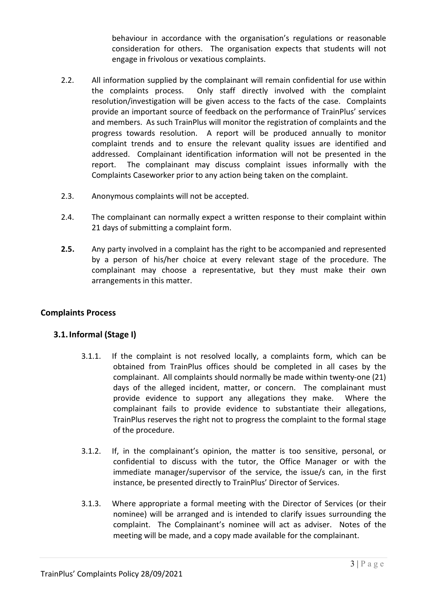behaviour in accordance with the organisation's regulations or reasonable consideration for others. The organisation expects that students will not engage in frivolous or vexatious complaints.

- 2.2. All information supplied by the complainant will remain confidential for use within the complaints process. Only staff directly involved with the complaint resolution/investigation will be given access to the facts of the case. Complaints provide an important source of feedback on the performance of TrainPlus' services and members. As such TrainPlus will monitor the registration of complaints and the progress towards resolution. A report will be produced annually to monitor complaint trends and to ensure the relevant quality issues are identified and addressed. Complainant identification information will not be presented in the report. The complainant may discuss complaint issues informally with the Complaints Caseworker prior to any action being taken on the complaint.
- 2.3. Anonymous complaints will not be accepted.
- 2.4. The complainant can normally expect a written response to their complaint within 21 days of submitting a complaint form.
- 2.5. Any party involved in a complaint has the right to be accompanied and represented by a person of his/her choice at every relevant stage of the procedure. The complainant may choose a representative, but they must make their own arrangements in this matter.

## Complaints Process

## 3.1.Informal (Stage I)

- 3.1.1. If the complaint is not resolved locally, a complaints form, which can be obtained from TrainPlus offices should be completed in all cases by the complainant. All complaints should normally be made within twenty-one (21) days of the alleged incident, matter, or concern. The complainant must provide evidence to support any allegations they make. Where the complainant fails to provide evidence to substantiate their allegations, TrainPlus reserves the right not to progress the complaint to the formal stage of the procedure.
- 3.1.2. If, in the complainant's opinion, the matter is too sensitive, personal, or confidential to discuss with the tutor, the Office Manager or with the immediate manager/supervisor of the service, the issue/s can, in the first instance, be presented directly to TrainPlus' Director of Services.
- 3.1.3. Where appropriate a formal meeting with the Director of Services (or their nominee) will be arranged and is intended to clarify issues surrounding the complaint. The Complainant's nominee will act as adviser. Notes of the meeting will be made, and a copy made available for the complainant.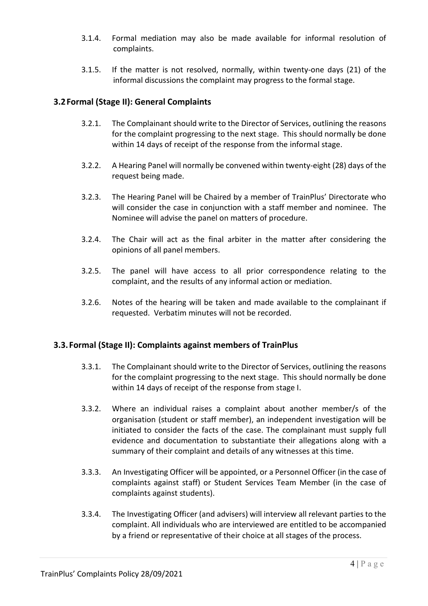- 3.1.4. Formal mediation may also be made available for informal resolution of complaints.
- 3.1.5. If the matter is not resolved, normally, within twenty-one days (21) of the informal discussions the complaint may progress to the formal stage.

# 3.2Formal (Stage II): General Complaints

- 3.2.1. The Complainant should write to the Director of Services, outlining the reasons for the complaint progressing to the next stage. This should normally be done within 14 days of receipt of the response from the informal stage.
- 3.2.2. A Hearing Panel will normally be convened within twenty-eight (28) days of the request being made.
- 3.2.3. The Hearing Panel will be Chaired by a member of TrainPlus' Directorate who will consider the case in conjunction with a staff member and nominee. The Nominee will advise the panel on matters of procedure.
- 3.2.4. The Chair will act as the final arbiter in the matter after considering the opinions of all panel members.
- 3.2.5. The panel will have access to all prior correspondence relating to the complaint, and the results of any informal action or mediation.
- 3.2.6. Notes of the hearing will be taken and made available to the complainant if requested. Verbatim minutes will not be recorded.

## 3.3. Formal (Stage II): Complaints against members of TrainPlus

- 3.3.1. The Complainant should write to the Director of Services, outlining the reasons for the complaint progressing to the next stage. This should normally be done within 14 days of receipt of the response from stage I.
- 3.3.2. Where an individual raises a complaint about another member/s of the organisation (student or staff member), an independent investigation will be initiated to consider the facts of the case. The complainant must supply full evidence and documentation to substantiate their allegations along with a summary of their complaint and details of any witnesses at this time.
- 3.3.3. An Investigating Officer will be appointed, or a Personnel Officer (in the case of complaints against staff) or Student Services Team Member (in the case of complaints against students).
- 3.3.4. The Investigating Officer (and advisers) will interview all relevant parties to the complaint. All individuals who are interviewed are entitled to be accompanied by a friend or representative of their choice at all stages of the process.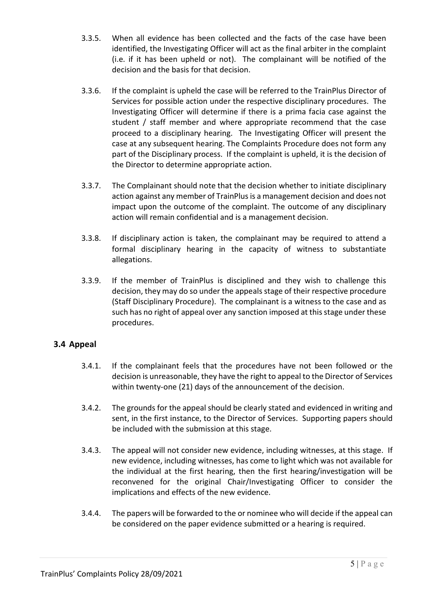- 3.3.5. When all evidence has been collected and the facts of the case have been identified, the Investigating Officer will act as the final arbiter in the complaint (i.e. if it has been upheld or not). The complainant will be notified of the decision and the basis for that decision.
- 3.3.6. If the complaint is upheld the case will be referred to the TrainPlus Director of Services for possible action under the respective disciplinary procedures. The Investigating Officer will determine if there is a prima facia case against the student / staff member and where appropriate recommend that the case proceed to a disciplinary hearing. The Investigating Officer will present the case at any subsequent hearing. The Complaints Procedure does not form any part of the Disciplinary process. If the complaint is upheld, it is the decision of the Director to determine appropriate action.
- 3.3.7. The Complainant should note that the decision whether to initiate disciplinary action against any member of TrainPlus is a management decision and does not impact upon the outcome of the complaint. The outcome of any disciplinary action will remain confidential and is a management decision.
- 3.3.8. If disciplinary action is taken, the complainant may be required to attend a formal disciplinary hearing in the capacity of witness to substantiate allegations.
- 3.3.9. If the member of TrainPlus is disciplined and they wish to challenge this decision, they may do so under the appeals stage of their respective procedure (Staff Disciplinary Procedure). The complainant is a witness to the case and as such has no right of appeal over any sanction imposed at this stage under these procedures.

# 3.4 Appeal

- 3.4.1. If the complainant feels that the procedures have not been followed or the decision is unreasonable, they have the right to appeal to the Director of Services within twenty-one (21) days of the announcement of the decision.
- 3.4.2. The grounds for the appeal should be clearly stated and evidenced in writing and sent, in the first instance, to the Director of Services. Supporting papers should be included with the submission at this stage.
- 3.4.3. The appeal will not consider new evidence, including witnesses, at this stage. If new evidence, including witnesses, has come to light which was not available for the individual at the first hearing, then the first hearing/investigation will be reconvened for the original Chair/Investigating Officer to consider the implications and effects of the new evidence.
- 3.4.4. The papers will be forwarded to the or nominee who will decide if the appeal can be considered on the paper evidence submitted or a hearing is required.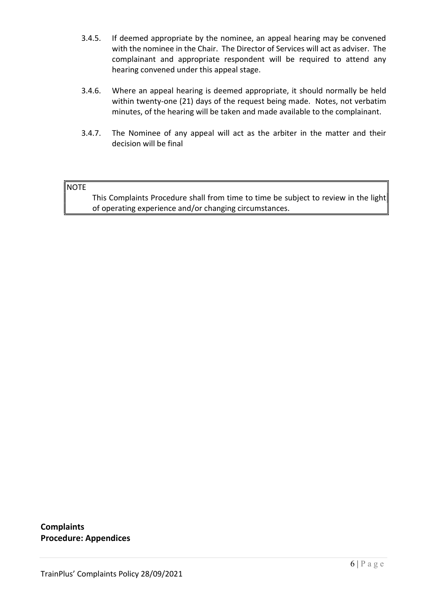- 3.4.5. If deemed appropriate by the nominee, an appeal hearing may be convened with the nominee in the Chair. The Director of Services will act as adviser. The complainant and appropriate respondent will be required to attend any hearing convened under this appeal stage.
- 3.4.6. Where an appeal hearing is deemed appropriate, it should normally be held within twenty-one (21) days of the request being made. Notes, not verbatim minutes, of the hearing will be taken and made available to the complainant.
- 3.4.7. The Nominee of any appeal will act as the arbiter in the matter and their decision will be final

#### NOTE

 This Complaints Procedure shall from time to time be subject to review in the light of operating experience and/or changing circumstances.

**Complaints** Procedure: Appendices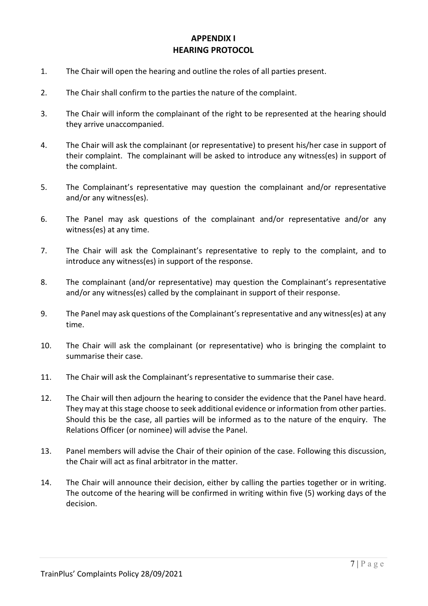# APPENDIX I HEARING PROTOCOL

- 1. The Chair will open the hearing and outline the roles of all parties present.
- 2. The Chair shall confirm to the parties the nature of the complaint.
- 3. The Chair will inform the complainant of the right to be represented at the hearing should they arrive unaccompanied.
- 4. The Chair will ask the complainant (or representative) to present his/her case in support of their complaint. The complainant will be asked to introduce any witness(es) in support of the complaint.
- 5. The Complainant's representative may question the complainant and/or representative and/or any witness(es).
- 6. The Panel may ask questions of the complainant and/or representative and/or any witness(es) at any time.
- 7. The Chair will ask the Complainant's representative to reply to the complaint, and to introduce any witness(es) in support of the response.
- 8. The complainant (and/or representative) may question the Complainant's representative and/or any witness(es) called by the complainant in support of their response.
- 9. The Panel may ask questions of the Complainant's representative and any witness(es) at any time.
- 10. The Chair will ask the complainant (or representative) who is bringing the complaint to summarise their case.
- 11. The Chair will ask the Complainant's representative to summarise their case.
- 12. The Chair will then adjourn the hearing to consider the evidence that the Panel have heard. They may at this stage choose to seek additional evidence or information from other parties. Should this be the case, all parties will be informed as to the nature of the enquiry. The Relations Officer (or nominee) will advise the Panel.
- 13. Panel members will advise the Chair of their opinion of the case. Following this discussion, the Chair will act as final arbitrator in the matter.
- 14. The Chair will announce their decision, either by calling the parties together or in writing. The outcome of the hearing will be confirmed in writing within five (5) working days of the decision.